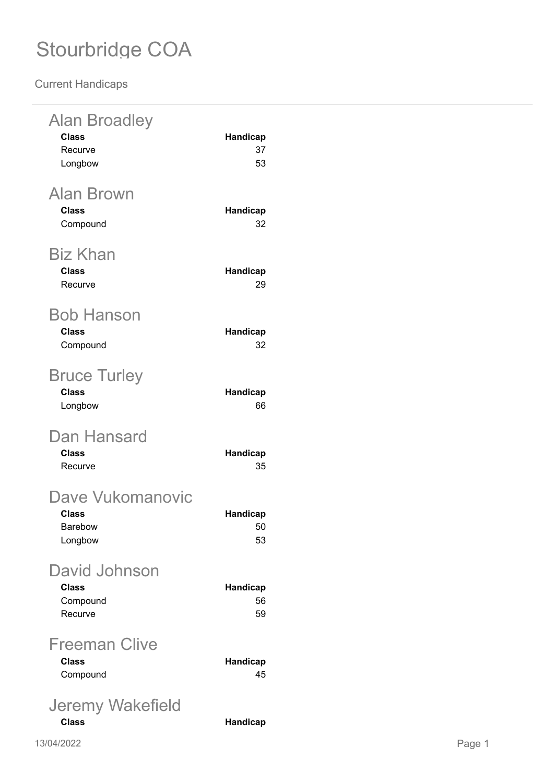**Current Handicaps**

| <b>Alan Broadley</b><br><b>Class</b><br>Recurve<br>Longbow | Handicap<br>37<br>53        |
|------------------------------------------------------------|-----------------------------|
| <b>Alan Brown</b><br><b>Class</b><br>Compound              | Handicap<br>32              |
| <b>Biz Khan</b><br><b>Class</b><br>Recurve                 | <b>Handicap</b><br>29       |
| Bob Hanson<br><b>Class</b><br>Compound                     | Handicap<br>32              |
| <b>Bruce Turley</b><br><b>Class</b><br>Longbow             | <b>Handicap</b><br>66       |
| Dan Hansard<br><b>Class</b><br>Recurve                     | <b>Handicap</b><br>35       |
| Dave Vukomanovic<br><b>Class</b><br>Barebow<br>Longbow     | <b>Handicap</b><br>50<br>53 |
| David Johnson<br><b>Class</b><br>Compound<br>Recurve       | <b>Handicap</b><br>56<br>59 |
| Freeman Clive<br><b>Class</b><br>Compound                  | Handicap<br>45              |
| Jeremy Wakefield<br><b>Class</b>                           | Handicap                    |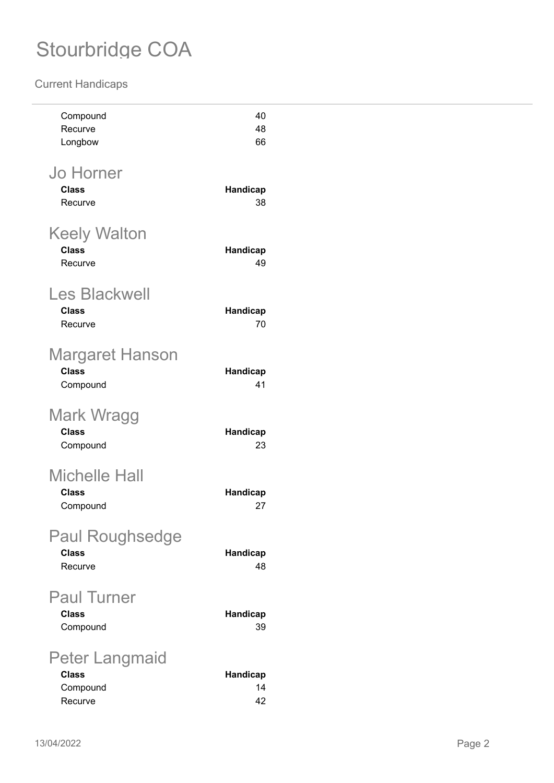#### **Current Handicaps**

| Recurve<br>48<br>Longbow<br>66<br><b>Jo Horner</b><br><b>Class</b><br>Handicap<br>38<br>Recurve<br><b>Keely Walton</b><br><b>Class</b><br>Handicap<br>Recurve<br>49<br><b>Les Blackwell</b><br><b>Class</b><br>Handicap<br>70<br>Recurve |
|------------------------------------------------------------------------------------------------------------------------------------------------------------------------------------------------------------------------------------------|
|                                                                                                                                                                                                                                          |
|                                                                                                                                                                                                                                          |
|                                                                                                                                                                                                                                          |
|                                                                                                                                                                                                                                          |
|                                                                                                                                                                                                                                          |
|                                                                                                                                                                                                                                          |
|                                                                                                                                                                                                                                          |
|                                                                                                                                                                                                                                          |
|                                                                                                                                                                                                                                          |
|                                                                                                                                                                                                                                          |
|                                                                                                                                                                                                                                          |
|                                                                                                                                                                                                                                          |
| <b>Margaret Hanson</b>                                                                                                                                                                                                                   |
| <b>Class</b><br>Handicap                                                                                                                                                                                                                 |
| 41<br>Compound                                                                                                                                                                                                                           |
|                                                                                                                                                                                                                                          |
| <b>Mark Wragg</b>                                                                                                                                                                                                                        |
| <b>Class</b><br>Handicap<br>23                                                                                                                                                                                                           |
| Compound                                                                                                                                                                                                                                 |
| <b>Michelle Hall</b>                                                                                                                                                                                                                     |
| <b>Class</b><br>Handicap                                                                                                                                                                                                                 |
| Compound<br>27                                                                                                                                                                                                                           |
|                                                                                                                                                                                                                                          |
| <b>Paul Roughsedge</b>                                                                                                                                                                                                                   |
| <b>Class</b><br>Handicap                                                                                                                                                                                                                 |
| 48<br>Recurve                                                                                                                                                                                                                            |
| <b>Paul Turner</b>                                                                                                                                                                                                                       |
| <b>Class</b><br>Handicap                                                                                                                                                                                                                 |
| Compound<br>39                                                                                                                                                                                                                           |
|                                                                                                                                                                                                                                          |
| <b>Peter Langmaid</b>                                                                                                                                                                                                                    |
| <b>Class</b><br>Handicap<br>Compound<br>14                                                                                                                                                                                               |
| 42<br>Recurve                                                                                                                                                                                                                            |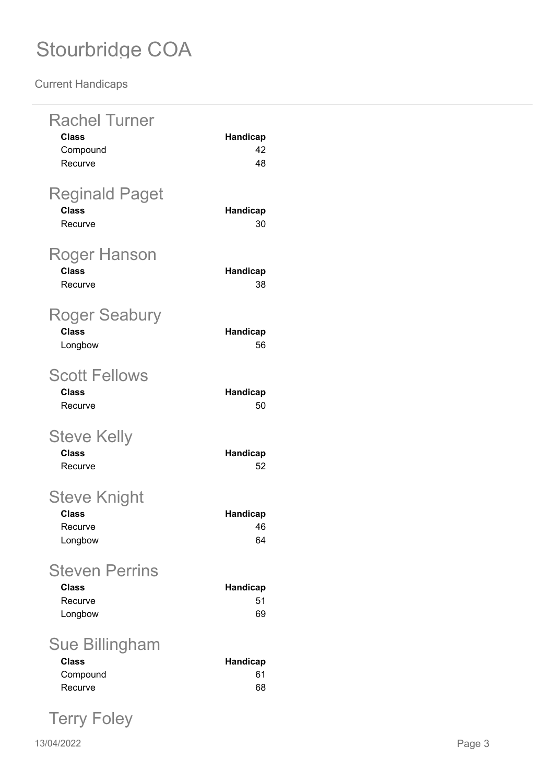**Current Handicaps**

| <b>Rachel Turner</b><br><b>Class</b><br>Compound<br>Recurve | <b>Handicap</b><br>42<br>48 |
|-------------------------------------------------------------|-----------------------------|
| <b>Reginald Paget</b><br><b>Class</b><br>Recurve            | <b>Handicap</b><br>30       |
| Roger Hanson<br><b>Class</b><br>Recurve                     | <b>Handicap</b><br>38       |
| <b>Roger Seabury</b><br><b>Class</b><br>Longbow             | <b>Handicap</b><br>56       |
| <b>Scott Fellows</b><br><b>Class</b><br>Recurve             | <b>Handicap</b><br>50       |
| <b>Steve Kelly</b><br><b>Class</b><br>Recurve               | <b>Handicap</b><br>52       |
| <b>Steve Knight</b><br><b>Class</b><br>Recurve<br>Longbow   | <b>Handicap</b><br>46<br>64 |
| <b>Steven Perrins</b><br><b>Class</b><br>Recurve<br>Longbow | <b>Handicap</b><br>51<br>69 |
| Sue Billingham<br><b>Class</b><br>Compound<br>Recurve       | <b>Handicap</b><br>61<br>68 |

Terry Foley